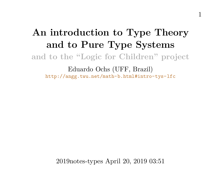## **An introduction to Type Theory and to Pure Type Systems and to the "Logic for Children" project** Eduardo Ochs (UFF, Brazil)

<http://angg.twu.net/math-b.html#intro-tys-lfc>

2019notes-types April 20, 2019 03:51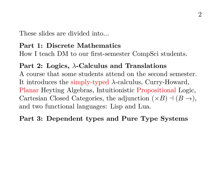These slides are divided into...

#### **Part 1: Discrete Mathematics**

How I teach DM to our first-semester CompSci students.

#### **Part 2: Logics,** λ**-Calculus and Translations**

A course that some students attend on the second semester. It introduces the simply-typed  $\lambda$ -calculus, Curry-Howard, Planar Heyting Algebras, Intuitionistic Propositional Logic, Cartesian Closed Categories, the adjunction  $(\times B) \dashv (B \to),$ and two functional languages: Lisp and Lua.

## **Part 3: Dependent types and Pure Type Systems**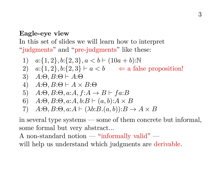#### **Eagle-eye view**

In this set of slides we will learn how to interpret "judgments" and "pre-judgments" like these:

1) 
$$
a:\{1,2\}, b:\{2,3\}, a < b \vdash (10a + b):\mathbb{N}
$$
  
\n2)  $a:\{1,2\}, b:\{2,3\} \vdash a < b \iff a$  false proposition!  
\n3)  $A:\Theta, B:\Theta \vdash A:\Theta$   
\n4)  $A:\Theta, B:\Theta \vdash A \times B:\Theta$   
\n5)  $A:\Theta, B:\Theta, a:A, f:A \to B \vdash fa:B$   
\n6)  $A:\Theta, B:\Theta, a:A, b:B \vdash (a, b): A \times B$   
\n7)  $A:\Theta, B:\Theta, a:A \vdash (\lambda b:B.(a, b)) : B \to A \times B$ 

in several type systems — some of them concrete but informal, some formal but very abstract...

A non-standard notion — "informally valid" will help us understand which judgments are derivable.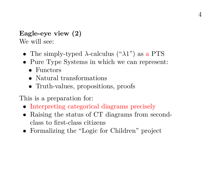## **Eagle-eye view (2)**

We will see:

- The simply-typed  $\lambda$ -calculus (" $\lambda$ 1") as a PTS
- Pure Type Systems in which we can represent:
	- Functors
	- Natural transformations
	- Truth-values, propositions, proofs

This is a preparation for:

- Interpreting categorical diagrams precisely
- Raising the status of CT diagrams from secondclass to first-class citizens
- Formalizing the "Logic for Children" project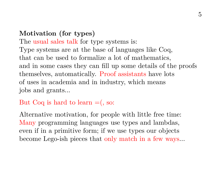## **Motivation (for types)**

The usual sales talk for type systems is: Type systems are at the base of languages like Coq, that can be used to formalize a lot of mathematics, and in some cases they can fill up some details of the proofs themselves, automatically. Proof assistants have lots of uses in academia and in industry, which means jobs and grants...

#### But Coq is hard to learn  $=$   $($ , so:

Alternative motivation, for people with little free time: Many programming languages use types and lambdas, even if in a primitive form; if we use types our objects become Lego-ish pieces that only match in a few ways...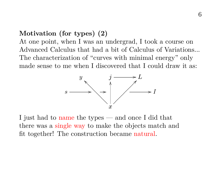#### **Motivation (for types) (2)**

At one point, when I was an undergrad, I took a course on Advanced Calculus that had a bit of Calculus of Variations... The characterization of "curves with minimal energy" only made sense to me when I discovered that I could draw it as:



I just had to name the types — and once I did that there was a single way to make the objects match and fit together! The construction became natural.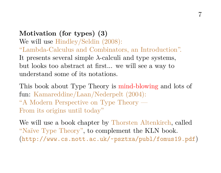**Motivation (for types) (3)** We will use Hindley/Seldin (2008): "Lambda-Calculus and Combinators, an Introduction". It presents several simple  $\lambda$ -calculi and type systems, but looks too abstract at first... we will see a way to understand some of its notations.

This book about Type Theory is mind-blowing and lots of fun: Kamareddine/Laan/Nederpelt (2004): "A Modern Perspective on Type Theory — From its origins until today"

We will use a book chapter by Thorsten Altenkirch, called "Naïve Type Theory", to complement the KLN book. (<http://www.cs.nott.ac.uk/~psztxa/publ/fomus19.pdf>)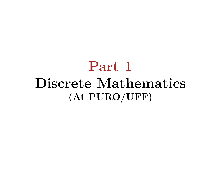## **Part 1 Discrete Mathematics (At PURO/UFF)**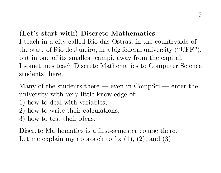#### **(Let's start with) Discrete Mathematics**

I teach in a city called Rio das Ostras, in the countryside of the state of Rio de Janeiro, in a big federal university ("UFF"), but in one of its smallest campi, away from the capital. I sometimes teach Discrete Mathematics to Computer Science students there.

Many of the students there — even in  $CompSci$  — enter the university with very little knowledge of:

- 1) how to deal with variables,
- 2) how to write their calculations,
- 3) how to test their ideas.

Discrete Mathematics is a first-semester course there. Let me explain my approach to fix  $(1)$ ,  $(2)$ , and  $(3)$ .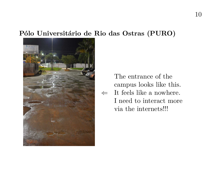#### **Pólo Universitário de Rio das Ostras (PURO)**



 $\Leftarrow$  It feels like a nowhere. The entrance of the campus looks like this. I need to interact more via the internets!!!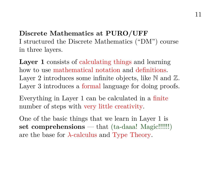**Discrete Mathematics at PURO/UFF** I structured the Discrete Mathematics ("DM") course in three layers.

**Layer 1** consists of calculating things and learning how to use mathematical notation and definitions. Layer 2 introduces some infinite objects, like  $\mathbb N$  and  $\mathbb Z$ . Layer 3 introduces a formal language for doing proofs.

Everything in Layer 1 can be calculated in a finite number of steps with very little creativity.

One of the basic things that we learn in Layer 1 is **set comprehensions** — that (ta-daaa! Magic!!!!!!) are the base for  $\lambda$ -calculus and Type Theory.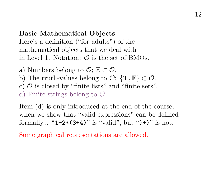## **Basic Mathematical Objects** Here's a definition ("for adults") of the mathematical objects that we deal with in Level 1. Notation:  $\mathcal{O}$  is the set of BMOs.

- a) Numbers belong to  $\mathcal{O}$ :  $\mathbb{Z} \subset \mathcal{O}$ .
- b) The truth-values belong to  $\mathcal{O}$ :  $\{T, F\} \subset \mathcal{O}$ .
- c)  $\mathcal O$  is closed by "finite lists" and "finite sets".
- d) Finite strings belong to  $\mathcal{O}$ .

Item (d) is only introduced at the end of the course, when we show that "valid expressions" can be defined formally... " $1+2*(3+4)$ " is "valid", but " $)+$ " is not.

Some graphical representations are allowed.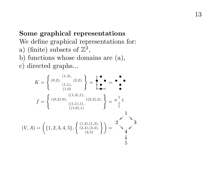### **Some graphical representations**

We define graphical representations for:

- a) (finite) subsets of  $\mathbb{Z}^2$ ,
- b) functions whose domains are (a),
- c) directed graphs...

$$
K = \left\{ (0, 2), (1, 3), (2, 2), \atop (1, 1), (1, 0) \atop (1, 0) \atop (1, 0) \atop (1, 0), (1, 1), (1, 2), (1, 3) \atop (1, 0), (1, 3) \atop (1, 0), (1, 3) \atop (1, 0), (1, 3) \atop (1, 0), (1, 3) \atop (1, 0) \atop (1, 0) \atop (1, 0) \atop (1, 0)} \right\} = \begin{array}{c} \bullet & \bullet & \bullet \\ \bullet & \bullet & \bullet \\ \bullet & \bullet & \bullet \\ 1 & 1 & 1 \\ 1 & 1 & 1 \\ 1 & 1 & 1 \\ 1 & 1 & 1 \\ 1 & 1 & 1 \\ 1 & 1 & 1 \\ 1 & 1 & 1 \\ 1 & 1 & 1 \\ 1 & 1 & 1 \\ 1 & 1 & 1 \\ 1 & 1 & 1 \\ 1 & 1 & 1 \\ 1 & 1 & 1 \\ 1 & 1 & 1 \\ 1 & 1 & 1 \\ 1 & 1 & 1 \\ 1 & 1 & 1 \\ 1 & 1 & 1 \\ 1 & 1 & 1 \\ 1 & 1 & 1 \\ 1 & 1 & 1 \\ 1 & 1 & 1 \\ 1 & 1 & 1 \\ 1 & 1 & 1 \\ 1 & 1 & 1 \\ 1 & 1 & 1 \\ 1 & 1 & 1 \\ 1 & 1 & 1 \\ 1 & 1 & 1 \\ 1 & 1 & 1 \\ 1 & 1 & 1 \\ 1 & 1 & 1 \\ 1 & 1 & 1 \\ 1 & 1 & 1 \\ 1 & 1 & 1 \\ 1 & 1 & 1 \\ 1 & 1 & 1 \\ 1 & 1 & 1 \\ 1 & 1 & 1 \\ 1 & 1 & 1 \\ 1 & 1 & 1 \\ 1 & 1 & 1 \\ 1 & 1 & 1 \\ 1 & 1 & 1 \\ 1 & 1 & 1 \\ 1 & 1 & 1 \\ 1 & 1 & 1 \\ 1 & 1 & 1 \\ 1 & 1 & 1 \\ 1 & 1 & 1 \\ 1 & 1 & 1 \\ 1 & 1 & 1 \\ 1 & 1 & 1 \\ 1 & 1 & 1 \\ 1 & 1 & 1 \\ 1 & 1 & 1 \\ 1 & 1 & 1 \\ 1 & 1 & 1 \\ 1 & 1 & 1 \\ 1 & 1 & 1 \\
$$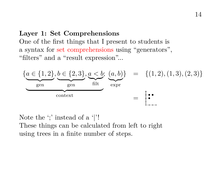#### **Layer 1: Set Comprehensions**

One of the first things that I present to students is a syntax for set comprehensions using "generators", "filters" and a "result expression"...



Note the ';' instead of a '|'! These things can be calculated from left to right using trees in a finite number of steps.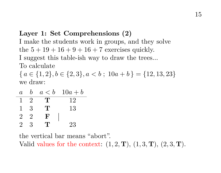### **Layer 1: Set Comprehensions (2)**

I make the students work in groups, and they solve the  $5 + 19 + 16 + 9 + 16 + 7$  exercises quickly.

I suggest this table-ish way to draw the trees...

To calculate

 ${ a \in \{1,2\}, b \in \{2,3\}, a < b ; 10a + b \} = \{12, 13, 23\}$ we draw:

| a              | b. |     | $a < b$ 10 $a + b$ |
|----------------|----|-----|--------------------|
|                | 2  | т   | 12                 |
| ı              | 3  | Ί.  | 13                 |
| $\overline{2}$ | 2  | F   |                    |
| 2              | 3  | י ו | 23                 |

the vertical bar means "abort". Valid values for the context:  $(1, 2, T)$ ,  $(1, 3, T)$ ,  $(2, 3, T)$ .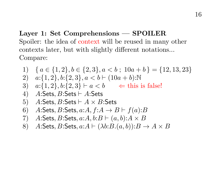## **Layer 1: Set Comprehensions — SPOILER** Spoiler: the idea of context will be reused in many other contexts later, but with slightly different notations... Compare:

1) 
$$
\{a \in \{1,2\}, b \in \{2,3\}, a < b; 10a + b\} = \{12, 13, 23\}
$$

2) 
$$
a:\{1,2\}, b:\{2,3\}, a < b \vdash (10a+b): \mathbb{N}
$$

3) 
$$
a:\{1,2\}, b:\{2,3\} \vdash a < b \Leftrightarrow \text{this is false!}
$$

4) 
$$
A:Sets, B:Sets \vdash A:Sets
$$

5) A:Sets, B:Sets 
$$
\vdash A \times B
$$
:Sets

6) A:Sets, B:Sets, a:A, f:A 
$$
\rightarrow
$$
 B  $\vdash$  f(a):B

7) A:Sets, B:Sets, a:A, b:B 
$$
\vdash (a, b): A \times B
$$

8) A:Sets, B:Sets, 
$$
a:A \vdash (\lambda b:B.(a,b)) : B \to A \times B
$$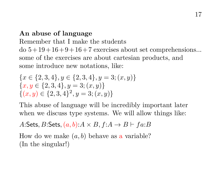### **An abuse of language**

Remember that I make the students

 $\text{do } 5 + 19 + 16 + 9 + 16 + 7$  exercises about set comprehensions... some of the exercises are about cartesian products, and some introduce new notations, like:

$$
\{x \in \{2, 3, 4\}, y \in \{2, 3, 4\}, y = 3; (x, y)\}\
$$

$$
\{x, y \in \{2, 3, 4\}, y = 3; (x, y)\}\
$$

$$
\{(x, y) \in \{2, 3, 4\}^2, y = 3; (x, y)\}\
$$

This abuse of language will be incredibly important later when we discuss type systems. We will allow things like:

A:Sets, B:Sets,  $(a, b)$ : $A \times B$ ,  $f: A \rightarrow B \vdash fa:B$ 

How do we make  $(a, b)$  behave as a variable? (In the singular!)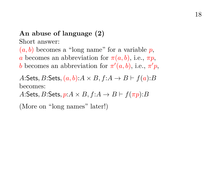## **An abuse of language (2)**

Short answer:

 $(a, b)$  becomes a "long name" for a variable p, a becomes an abbreviation for  $\pi(a, b)$ , i.e.,  $\pi p$ , b becomes an abbreviation for  $\pi'(a, b)$ , i.e.,  $\pi' p$ ,

A:Sets, B:Sets,  $(a, b)$ : $A \times B$ ,  $f: A \rightarrow B \vdash f(a): B$ becomes:

A:Sets, B:Sets,  $p: A \times B$ ,  $f: A \rightarrow B \vdash f(\pi p): B$ 

(More on "long names" later!)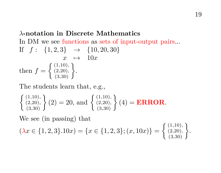## λ**-notation in Discrete Mathematics** In DM we see functions as sets of input-output pairs... If  $f: \{1,2,3\} \rightarrow \{10,20,30\}$  $x \mapsto 10x$ then  $f = \begin{cases} (1,10), \\ (2,20), \end{cases}$  $\left\{ \begin{matrix} (1,10),\ (2,20),\ (3,30) \end{matrix} \right\}.$

The students learn that, e.g.,

$$
\begin{Bmatrix} (1,10), \\ (2,20), \\ (3,30) \end{Bmatrix} (2) = 20, \text{ and } \begin{Bmatrix} (1,10), \\ (2,20), \\ (3,30) \end{Bmatrix} (4) = ERROR.
$$

We see (in passing) that

$$
(\lambda x \in \{1, 2, 3\}.10x) = \{x \in \{1, 2, 3\}; (x, 10x)\} = \left\{\begin{array}{l} (1, 10), \\ (2, 20), \\ (3, 30) \end{array}\right\}.
$$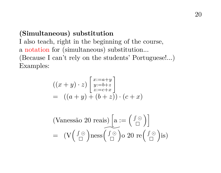## **(Simultaneous) substitution**

I also teach, right in the beginning of the course, a notation for (simultaneous) substitution...

(Because I can't rely on the students' Portuguese!...) Examples:

$$
((x+y)\cdot z)\begin{bmatrix}x:=a+y\\y:=b+z\\z:=c+x\end{bmatrix}
$$
  
=  $((a+y)+(b+z))\cdot(c+x)$ 

(Vanesão 20 reais) 
$$
\left[a := \left(\begin{array}{c} \int \odot \\ \Box \end{array}\right)\right]
$$
  
=  $(V\left(\begin{array}{c} \int \odot \\ \Box \end{array}\right)$ ness  $\left(\begin{array}{c} \int \odot \\ \Box \end{array}\right)$ o 20 re $\left(\begin{array}{c} \int \odot \\ \Box \end{array}\right)$ is)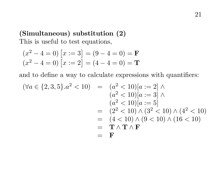## **(Simultaneous) substitution (2)** This is useful to test equations,

$$
(x^2 - 4 = 0)
$$
 [x := 3] = (9 - 4 = 0) = **F**  
(x<sup>2</sup> - 4 = 0) [x := 2] = (4 - 4 = 0) = **T**

and to define a way to calculate expressions with quantifiers:

$$
(\forall a \in \{2, 3, 5\}.a^2 < 10) = (a^2 < 10)[a := 2] \land (a^2 < 10)[a := 3] \land (a^2 < 10)[a := 5] = (2^2 < 10) \land (3^2 < 10) \land (4^2 < 10) = (4 < 10) \land (9 < 10) \land (16 < 10) = \mathbf{T} \land \mathbf{T} \land \mathbf{F} = \mathbf{F}
$$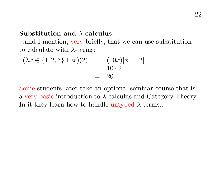#### **Substitution and** λ**-calculus**

...and I mention, very briefly, that we can use substitution to calculate with  $\lambda$ -terms:

$$
(\lambda x \in \{1, 2, 3\}.10x)(2) = (10x)[x := 2]
$$
  
= 10 \cdot 2  
= 20

Some students later take an optional seminar course that is a very basic introduction to λ-calculus and Category Theory... In it they learn how to handle untyped  $\lambda$ -terms...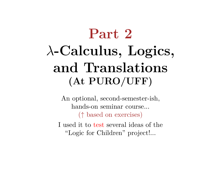# **Part 2** λ**-Calculus, Logics, and Translations (At PURO/UFF)**

An optional, second-semester-ish, hands-on seminar course... (↑ based on exercises)

I used it to test several ideas of the "Logic for Children" project!...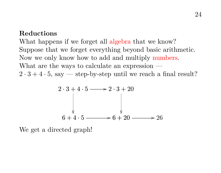#### **Reductions**

What happens if we forget all algebra that we know? Suppose that we forget everything beyond basic arithmetic. Now we only know how to add and multiply numbers. What are the ways to calculate an expression —  $2 \cdot 3 + 4 \cdot 5$ , say — step-by-step until we reach a final result?

$$
2 \cdot 3 + 4 \cdot 5 \longrightarrow 2 \cdot 3 + 20
$$
\n
$$
\downarrow \qquad \qquad \downarrow
$$
\n
$$
6 + 4 \cdot 5 \longrightarrow 6 + 20 \longrightarrow 26
$$

We get a directed graph!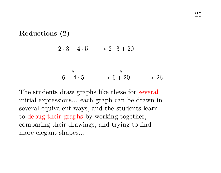#### **Reductions (2)**



The students draw graphs like these for several initial expressions... each graph can be drawn in several equivalent ways, and the students learn to debug their graphs by working together, comparing their drawings, and trying to find more elegant shapes...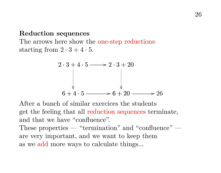#### **Reduction sequences**

The arrows here show the one-step reductions starting from  $2 \cdot 3 + 4 \cdot 5$ .

$$
2 \cdot 3 + 4 \cdot 5 \longrightarrow 2 \cdot 3 + 20
$$
\n
$$
\downarrow \qquad \qquad \downarrow
$$
\n
$$
6 + 4 \cdot 5 \longrightarrow 6 + 20 \longrightarrow 26
$$

After a bunch of similar exercices the students get the feeling that all reduction sequences terminate, and that we have "confluence".

These properties — "termination" and "confluence" are very important, and we want to keep them as we add more ways to calculate things...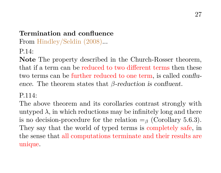## **Termination and confluence**

From Hindley/Seldin (2008)...

P.14:

**Note** The property described in the Church-Rosser theorem, that if a term can be reduced to two different terms then these two terms can be further reduced to one term, is called confluence. The theorem states that  $\beta$ -reduction is confluent.

#### $P$  114 $\cdot$

The above theorem and its corollaries contrast strongly with untyped  $\lambda$ , in which reductions may be infinitely long and there is no decision-procedure for the relation  $=_\beta$  (Corollary 5.6.3). They say that the world of typed terms is completely safe, in the sense that all computations terminate and their results are unique.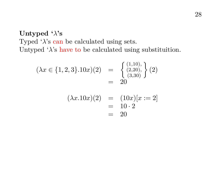## **Untyped '**λ**'s** Typed  $\lambda$ 's can be calculated using sets. Untyped ' $\lambda$ 's have to be calculated using substituition.

$$
(\lambda x \in \{1, 2, 3\}.10x)(2) = \begin{cases} (1,10), \\ (2,20), \\ (3,30) \end{cases} (2)
$$
  
= 20  

$$
(\lambda x.10x)(2) = (10x)[x := 2]
$$
  
= 10 · 2  
= 20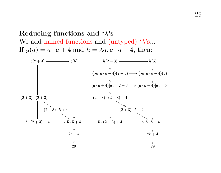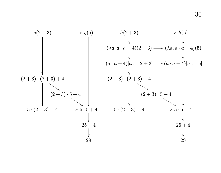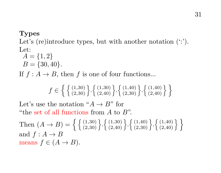#### **Types**

Let's (re)introduce types, but with another notation  $($ ...' $)$ . Let:

 $A = \{1, 2\}$  $B = \{30, 40\}.$ 

If  $f : A \to B$ , then f is one of four functions...

$$
f \in \left\{ \left\{ \begin{smallmatrix} (1,30) \\ (2,30) \end{smallmatrix} \right\}, \left\{ \begin{smallmatrix} (1,30) \\ (2,40) \end{smallmatrix} \right\}, \left\{ \begin{smallmatrix} (1,40) \\ (2,30) \end{smallmatrix} \right\}, \left\{ \begin{smallmatrix} (1,40) \\ (2,40) \end{smallmatrix} \right\} \right\}
$$

Let's use the notation " $A \rightarrow B$ " for "the set of all functions from  $A$  to  $B$ ".

Then  $(A \rightarrow B) = \left\{ \left\{ \begin{array}{l} (1,30) \\ (2,30) \end{array} \right\}, \left\{ \begin{array}{l} (1,30) \\ (2,40) \end{array} \right\}, \left\{ \begin{array}{l} (1,40) \\ (2,30) \end{array} \right\}, \left\{ \begin{array}{l} (1,40) \\ (2,40) \end{array} \right\} \right\}$ and  $f : A \rightarrow B$ means  $f \in (A \rightarrow B)$ .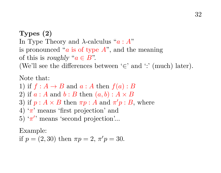**Types (2)** In Type Theory and  $\lambda$ -calculus "a: A" is pronounced "a is of type  $A$ ", and the meaning of this is roughly " $a \in B$ ". (We'll see the differences between '∈' and ':' (much) later).

Note that:

1) if  $f : A \to B$  and  $a : A$  then  $f(a) : B$ 

2) if  $a : A$  and  $b : B$  then  $(a, b) : A \times B$ 

3) if  $p: A \times B$  then  $\pi p: A$  and  $\pi' p: B$ , where

4) ' $\pi$ ' means 'first projection' and

5) ' $\pi$ <sup>'</sup> means 'second projection'...

Example:

if 
$$
p = (2, 30)
$$
 then  $\pi p = 2$ ,  $\pi' p = 30$ .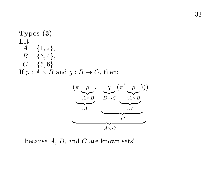#### **Types (3)** Let:  $A = \{1, 2\},\$  $B = \{3, 4\},\,$  $C = \{5, 6\}.$ If  $p : A \times B$  and  $q : B \to C$ , then:



...because  $A$ ,  $B$ , and  $C$  are known sets!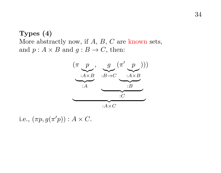## **Types (4)** More abstractly now, if  $A, B, C$  are known sets, and  $p: A \times B$  and  $q: B \to C$ , then:



i.e.,  $(\pi p, g(\pi' p))$ :  $A \times C$ .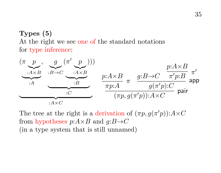## **Types (5)** At the right we see one of the standard notations for type inference:



The tree at the right is a derivation of  $(\pi p, g(\pi' p))$ :  $A \times C$ from hypotheses  $p: A \times B$  and  $q: B \rightarrow C$ (in a type system that is still unnamed)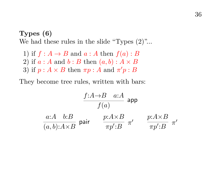**Types (6)** We had these rules in the slide "Types  $(2)$ "...

1) if  $f : A \rightarrow B$  and  $a : A$  then  $f(a) : B$ 2) if  $a : A$  and  $b : B$  then  $(a, b) : A \times B$ 3) if  $p: A \times B$  then  $\pi p: A$  and  $\pi' p: B$ 

They become tree rules, written with bars:

$$
\frac{f:A\to B\quad a:A}{f(a)}\text{ app}
$$
\n
$$
\frac{a:A\quad b:B}{(a,b):A\times B}\text{ pair}\qquad\frac{p:A\times B}{\pi p':B}\pi'\qquad\frac{p:A\times B}{\pi p':B}\pi'
$$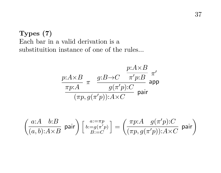**Types (7)** Each bar in a valid derivation is a substituition instance of one of the rules...

$$
\frac{p{:}A{\times}B}{\pi p{:}A} \underset{(\pi p, g(\pi' p)) : A{\times}C}{\pi' p{:}B} \underset{\text{pair}}{\pi'}
$$

$$
\left(\begin{matrix} a{:}A & b{:}B \\ \hline (a,b){:}A{\times}B \end{matrix}\right)\left[\begin{matrix} a{:}=\pi p \\ b{:}=g(\pi'p) \\ B{:}=C \end{matrix}\right]=\left(\begin{matrix} \pi p{:}A & g(\pi'p){:}C \\ \hline (\pi p,g(\pi'p)){:}A{\times}C \end{matrix}\right)\text{pair}
$$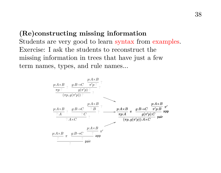**(Re)constructing missing information** Students are very good to learn syntax from examples. Exercise: I ask the students to reconstruct the missing information in trees that have just a few term names, types, and rule names...

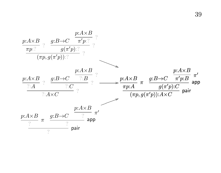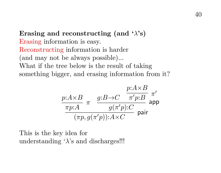**Erasing and reconstructing (and**  $\lambda$ **'s)** Erasing information is easy. Reconstructing information is harder (and may not be always possible)... What if the tree below is the result of taking something bigger, and erasing information from it?

$$
\frac{p:A\times B}{\pi p:A} \underset{(\pi p, g(\pi' p)):A\times C}{\pi \text{ s.t.}} \frac{p:A\times B}{\pi'p:B} \underset{\text{app}}{\pi'}
$$

This is the key idea for understanding ' $\lambda$ 's and discharges!!!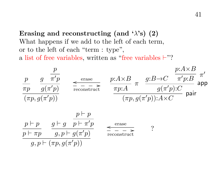**Erasing and reconstructing (and '** $\lambda$ **'s) (2)** What happens if we add to the left of each term, or to the left of each "term : type", a list of free variables, written as "free variables  $\vdash$ "?

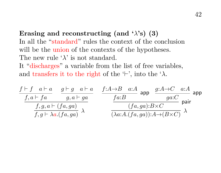**Erasing and reconstructing (and '** $\lambda$ **'s) (3)** In all the "standard" rules the context of the conclusion will be the union of the contexts of the hypotheses. The new rule  $\lambda$  is not standard. It "discharges" a variable from the list of free variables, and transfers it to the right of the  $\vdash'$ , into the ' $\lambda$ .

$$
\begin{array}{ccc}\nf \vdash f & a \vdash a & g \vdash g & a \vdash a \\
\hline\nf, a \vdash fa & g, a \vdash ga \\
f, g \vdash \lambda a. (fa, ga) & \lambda\n\end{array}\n\qquad\n\begin{array}{c}\nf:A \rightarrow B & a:A \\
\hline\nf.a:B & \text{app} & \frac{g:A \rightarrow C & a:A}{ga:C} \\
\hline\nf.a.ga):B \times C & \text{pair} \\
\hline\n(\lambda a:A.(fa,ga)):B \times C & \lambda\n\end{array}
$$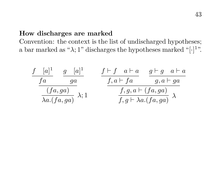### **How discharges are marked**

Convention: the context is the list of undischarged hypotheses; a bar marked as " $\lambda$ ; 1" discharges the hypotheses marked "[·]<sup>1</sup>".

$$
\frac{f}{f a} \frac{[a]^1}{g a} \frac{g}{g a} \frac{[a]^1}{f, a \vdash f a} \frac{f \vdash f \quad a \vdash a}{g, a \vdash g a}
$$
\n
$$
\frac{(fa, ga)}{\lambda a.(fa, ga)} \lambda; 1 \qquad \frac{f, g, a \vdash (fa, ga)}{f, g \vdash \lambda a.(fa, ga)} \lambda
$$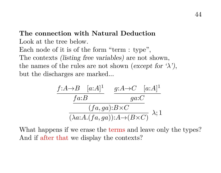## **The connection with Natural Deduction** Look at the tree below. Each node of it is of the form "term : type", The contexts (listing free variables) are not shown, the names of the rules are not shown (except for  $\lambda$ ), but the discharges are marked...

$$
\frac{f:A \to B \quad [a:A]^1}{f a:B} \quad \frac{g:A \to C \quad [a:A]^1}{g a:C}
$$
\n
$$
\frac{(fa, ga):B \times C}{(\lambda a:A.(fa, ga)):A \to (B \times C)} \quad \lambda; 1
$$

What happens if we erase the terms and leave only the types? And if after that we display the contexts?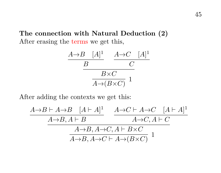**The connection with Natural Deduction (2)** After erasing the terms we get this,

$$
\frac{A \rightarrow B \quad [A]^1}{B} \quad \frac{A \rightarrow C \quad [A]^1}{C}
$$

$$
\frac{B \times C}{A \rightarrow (B \times C)} \quad 1
$$

After adding the contexts we get this:

$$
\frac{A\rightarrow B\vdash A\rightarrow B\quad [A\vdash A]^{1}}{A\rightarrow B, A\vdash B} \quad \frac{A\rightarrow C\vdash A\rightarrow C\quad [A\vdash A]^{1}}{A\rightarrow C, A\vdash C}
$$

$$
\frac{A\rightarrow B, A\rightarrow C, A\vdash B\times C}{A\rightarrow B, A\rightarrow C\vdash A\rightarrow (B\times C)} \quad 1
$$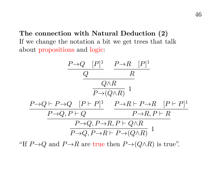**The connection with Natural Deduction (2)** If we change the notation a bit we get trees that talk about propositions and logic:

$$
\begin{array}{c|c} P \rightarrow Q & [P]^1 & P \rightarrow R & [P]^1 \\ \hline Q & R & \\ \hline \hline P \rightarrow (Q \wedge R) & 1 \\ \hline P \rightarrow (Q \wedge R) & 1 \\ \hline P \rightarrow Q, P \vdash Q & P \rightarrow R \vdash P \rightarrow R & [P \vdash P]^1 \\ \hline P \rightarrow Q, P \vdash Q & P \rightarrow R, P \vdash R \\ \hline P \rightarrow Q, P \rightarrow R, P \vdash Q \wedge R) & 1 \\ \end{array}
$$

"If  $P\rightarrow Q$  and  $P\rightarrow R$  are true then  $P\rightarrow (Q\land R)$  is true".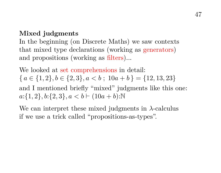### **Mixed judgments**

In the beginning (on Discrete Maths) we saw contexts that mixed type declarations (working as generators) and propositions (working as filters)...

We looked at set comprehensions in detail:  ${ a \in \{1,2\}, b \in \{2,3\}, a < b : 10a + b } = \{12, 13, 23\}$ and I mentioned briefly "mixed" judgments like this one:  $a:\{1,2\}, b:\{2,3\}, a < b \vdash (10a + b): \mathbb{N}$ 

We can interpret these mixed judgments in  $\lambda$ -calculus if we use a trick called "propositions-as-types".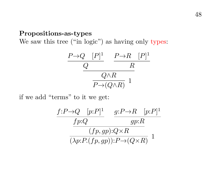### **Propositions-as-types**

We saw this tree ("in logic") as having only types:

$$
\frac{P\rightarrow Q \quad [P]^1}{Q} \quad \frac{P\rightarrow R \quad [P]^1}{R} \quad \frac{Q\land R}{P\rightarrow (Q\land R)} \quad 1
$$

if we add "terms" to it we get:

$$
\frac{f: P \to Q \quad [p:P]^1}{fp:Q} \qquad \frac{g: P \to R \quad [p:P]^1}{gp:R}
$$

$$
\frac{(fp, gp): Q \times R}{(\lambda p: P.(fp, gp)): P \to (Q \times R)} \quad 1
$$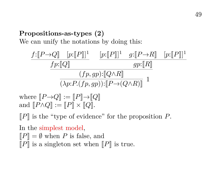## **Propositions-as-types (2)**

We can unify the notations by doing this:

$$
\frac{f:[P\rightarrow Q]\quad[p:[P]]^1}{\underline{fp:[Q]}}\quad\frac{[p:[P]]^1}{\underline{gp:[R]}}\quad\frac{g:[P\rightarrow R]\quad[p:[P]]^1}{\underline{gp:[R]}}{\underline{(fp, gp):[(Q\wedge R)]}}\\ \frac{(fp, gp):[(Q\wedge R)]}{(\lambda p: P.(fp, gp)) : [[P\rightarrow (Q\wedge R)]]} \quad 1
$$

where  $\llbracket P \rightarrow Q \rrbracket := \llbracket P \rrbracket \rightarrow \llbracket Q \rrbracket$ and  $[[P \wedge Q]] := [[P]] \times [[Q]].$ 

 $\llbracket P \rrbracket$  is the "type of evidence" for the proposition P.

In the simplest model,  $\llbracket P \rrbracket = \emptyset$  when P is false, and  $\llbracket P \rrbracket$  is a singleton set when  $\llbracket P \rrbracket$  is true.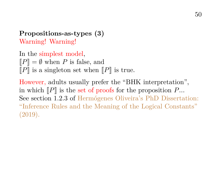## **Propositions-as-types (3)** Warning! Warning!

In the simplest model,  $\llbracket P \rrbracket = \emptyset$  when P is false, and  $\llbracket P \rrbracket$  is a singleton set when  $\llbracket P \rrbracket$  is true.

However, adults usually prefer the "BHK interpretation", in which  $\llbracket P \rrbracket$  is the set of proofs for the proposition P... See section 1.2.3 of Hermógenes Oliveira's PhD Dissertation: "Inference Rules and the Meaning of the Logical Constants" (2019).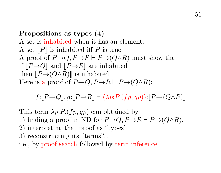### **Propositions-as-types (4)**

A set is inhabited when it has an element. A set  $\llbracket P \rrbracket$  is inhabited iff P is true. A proof of  $P\rightarrow Q$ ,  $P\rightarrow R \vdash P\rightarrow (Q\land R)$  must show that if  $\llbracket P\rightarrow Q\rrbracket$  and  $\llbracket P\rightarrow R\rrbracket$  are inhabited then  $\llbracket P\rightarrow (Q\wedge R)\rrbracket$  is inhabited. Here is a proof of  $P\rightarrow Q, P\rightarrow R \vdash P\rightarrow (O\land R)$ :

 $f:$  $\llbracket P\rightarrow Q\rrbracket$ ,  $q:$  $\llbracket P\rightarrow R\rrbracket \vdash (\lambda p: P.(\text{fp}, qp))$ : $\llbracket P\rightarrow (Q\land R)\rrbracket$ 

This term  $\lambda p$ :  $P$ . (fp, qp) can obtained by

- 1) finding a proof in ND for  $P\rightarrow Q$ ,  $P\rightarrow R \vdash P\rightarrow (Q\land R)$ ,
- 2) interpreting that proof as "types",
- 3) reconstructing its "terms"...

i.e., by proof search followed by term inference.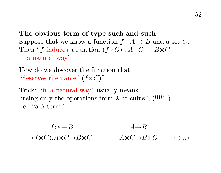**The obvious term of type such-and-such** Suppose that we know a function  $f : A \to B$  and a set C. Then "f induces a function  $(f \times C) : A \times C \to B \times C$ in a natural way".

How do we discover the function that "deserves the name"  $(f \times C)$ ?

Trick: "in a natural way" usually means "using only the operations from  $\lambda$ -calculus", (!!!!!!!) i.e., "a  $\lambda$ -term".

$$
\frac{f:A \to B}{(f \times C): A \times C \to B \times C} \quad \Rightarrow \quad \frac{A \to B}{A \times C \to B \times C} \quad \Rightarrow \quad (\dots)
$$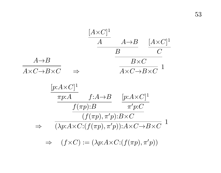$$
\frac{[A \times C]^1}{A} \xrightarrow{A \to B} \frac{[A \times C]^1}{C}
$$
\n
$$
\frac{B}{A \times C \to B \times C} \xrightarrow{B \times C} \frac{[B \times C \to B \times C]^1}{A \times C \to B \times C} = \frac{[p: A \times C]^1}{\pi p: A} \xrightarrow{f: A \to B} \frac{[p: A \times C]^1}{\pi' p: C}
$$
\n
$$
\Rightarrow \frac{f(\pi p): B}{(\lambda p: A \times C: (f(\pi p), \pi' p): A \times C \to B \times C} = \frac{1}{(\lambda p: A \times C: (f(\pi p), \pi' p))}
$$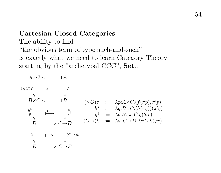#### **Cartesian Closed Categories**

The ability to find "the obvious term of type such-and-such" is exactly what we need to learn Category Theory starting by the "archetypal CCC", Set...

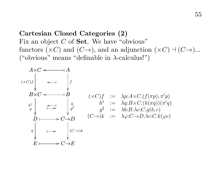## **Cartesian Closed Categories (2)** Fix an object C of Set. We have "obvious" functors ( $\times C$ ) and ( $C\rightarrow$ ), and an adjunction ( $\times C$ ) + ( $C\rightarrow$ )... ("obvious" means "definable in λ-calculus!")

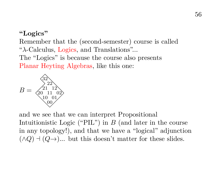### **"Logics"**

Remember that the (second-semester) course is called " $\lambda$ -Calculus, Logics, and Translations"... The "Logics" is because the course also presents Planar Heyting Algebras, like this one:



and we see that we can interpret Propositional Intuitionistic Logic ("PIL") in  $B$  (and later in the course in any topology!), and that we have a "logical" adjunction  $(\wedge Q) \dashv (Q \rightarrow)$ ... but this doesn't matter for these slides.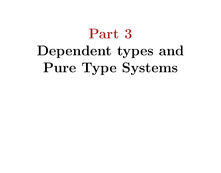# **Part 3 Dependent types and Pure Type Systems**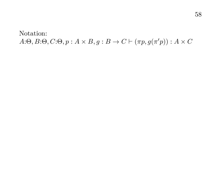Notation:  $A:\Theta, B:\Theta, C:\Theta, p : A \times B, g : B \to C \vdash (\pi p, g(\pi' p)) : A \times C$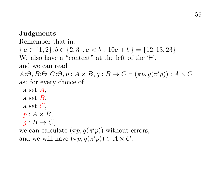### **Judgments**

Remember that in:  ${ a \in \{1,2\}, b \in \{2,3\}, a < b ; 10a + b } = \{12,13,23\}$ We also have a "context" at the left of the  $\vdash$ '. and we can read  $A:\Theta, B:\Theta, C:\Theta, p:A \times B, g:B \to C \vdash (\pi p, g(\pi' p)): A \times C$ as: for every choice of a set A, a set  $B$ . a set  $C$ .  $p: A \times B$ .  $g: B \to C$ . we can calculate  $(\pi p, g(\pi' p))$  without errors, and we will have  $(\pi p, g(\pi' p)) \in A \times C$ .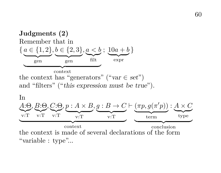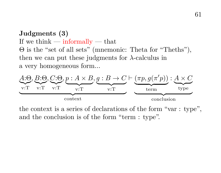## **Judgments (3)** If we think  $-$  informally  $-$  that Θ is the "set of all sets" (mnemonic: Theta for "Theths"), then we can put these judgments for  $\lambda$ -calculus in a very homogeneous form...



the context is a series of declarations of the form "var : type", and the conclusion is of the form "term : type".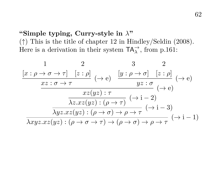## **"Simple typing, Curry-style in** λ**"**

(↑) This is the title of chapter 12 in Hindley/Seldin (2008). Here is a derivation in their system  $TA_{\lambda}^{\rightarrow}$ , from p.161:

$$
\frac{1}{x:\rho \to \sigma \to \tau} \quad \frac{2}{[z:\rho]} \quad (\to e) \quad \frac{[y:\rho \to \sigma] \quad [z:\rho]}{y:\sigma} \quad (\to e)
$$
\n
$$
\frac{xz:\sigma \to \tau}{xz(yz):\tau} \quad (\to e)
$$
\n
$$
\frac{xz(yz):\tau}{\lambda z.xz(yz):(\rho \to \tau)} \quad (\to i-2)
$$
\n
$$
\frac{\lambda yz.xz(yz):(\rho \to \sigma) \to \rho \to \tau}{\lambda xyz.xz(yz):(\rho \to \sigma \to \tau) \to (\rho \to \sigma) \to \rho \to \tau} \quad (\to i-1)
$$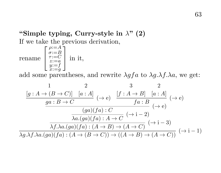## **"Simple typing, Curry-style in** λ**" (2)** If we take the previous derivation,

rename  $\sqrt{ }$  $\overline{1}$  $\begin{array}{ll} \rho := A \\ \tau := C \\ \tau := C \\ z := a \\ y := f \\ x := g \end{array}$ 1 in it,

add some parentheses, and rewrite  $\lambda$ gfa to  $\lambda$ g. $\lambda$ f. $\lambda$ a, we get:

$$
\frac{1}{[g:A \to (B \to C)]} \quad \frac{2}{[a:A]} \quad (\to e) \quad \frac{[f:A \to B] \quad [a:A]}{f a:B} \quad (\to e)
$$
\n
$$
\frac{ga:B \to C}{\frac{(ga)(fa):C}{\lambda a.(ga)(fa):A \to C} \quad (\to i-2)}
$$
\n
$$
\frac{\lambda f.\lambda a.(ga)(fa):A \to C}{}(\to i-3)
$$
\n
$$
\lambda g.\lambda f.\lambda a.(ga)(fa):A \to (B \to C)) \to ((A \to B) \to (A \to C))} \quad (\to i-1)
$$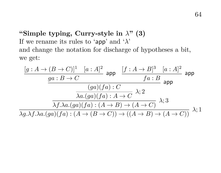## **"Simple typing, Curry-style in** λ**" (3)** If we rename its rules to 'app' and ' $\lambda$ ' and change the notation for discharge of hypotheses a bit, we get:

$$
\frac{[g:A \to (B \to C)]^1 \quad [a:A]^2}{ga:B \to C} \text{ app } \frac{[f:A \to B]^3 \quad [a:A]^2}{fa:B} \text{ app}
$$
\n
$$
\frac{(ga)(fa):C}{\lambda a.(ga)(fa):A \to C} \lambda;2
$$
\n
$$
\frac{\lambda f.\lambda a.(ga)(fa):A \to B) \to (A \to C)}{\lambda g.\lambda f.\lambda a.(ga)(fa):A \to (B \to C)) \to ((A \to B) \to (A \to C))} \lambda;1
$$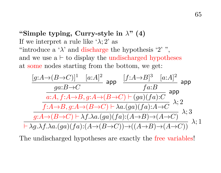**"Simple typing, Curry-style in** λ**" (4)** If we interpret a rule like ' $\lambda$ ; 2' as "introduce a ' $\lambda$ ' and discharge the hypothesis '2'", and we use  $a \vdash$  to display the undischarged hypotheses at some nodes starting from the bottom, we get:



The undischarged hypotheses are exactly the free variables!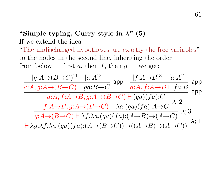## **"Simple typing, Curry-style in** λ**" (5)** If we extend the idea

"The undischarged hypotheses are exactly the free variables" to the nodes in the second line, inheriting the order from below — first a, then f, then  $q$  — we get:

$$
\frac{[g:A\rightarrow (B\rightarrow C)]^1}{a:A,g:A\rightarrow (B\rightarrow C) \vdash ga:B\rightarrow C} \text{ app } \frac{[f:A\rightarrow B]^3 \quad [a:A]^2}{a:A,f:A\rightarrow B \vdash fa:B} \text{ app } } \frac{a:A,f:A\rightarrow B \land f \land a}{a:A,f:A\rightarrow B \vdash fa:B} \text{ app } \frac{a:A,f:A\rightarrow B,g:A\rightarrow (B\rightarrow C) \vdash (ga)(fa):C}{f:A\rightarrow B,g:A\rightarrow (B\rightarrow C) \vdash \lambda a.(ga)(fa):A\rightarrow C} \lambda; 2 \\ \frac{g:A\rightarrow (B\rightarrow C) \vdash \lambda f.\lambda a.(ga)(fa):(A\rightarrow B) \rightarrow (A\rightarrow C)}{g:A\rightarrow (B\rightarrow C) \vdash \lambda f.\lambda a.(ga)(fa):(A\rightarrow (B\rightarrow C)) \rightarrow ((A\rightarrow B) \rightarrow (A\rightarrow C))} \lambda; 1
$$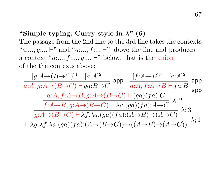### **"Simple typing, Curry-style in** λ**" (6)**

The passage from the 2nd line to the 3rd line takes the contexts "a:..., g:...  $\vdash$ " and "a:..., f:...  $\vdash$ " above the line and produces a context " $a:...$ ,  $f:...$ ,  $g:...$   $\vdash$ " below, that is the union of the the contexts above:

$$
\frac{[g:A\rightarrow (B\rightarrow C)]^1}{a:A,g:A\rightarrow (B\rightarrow C) \vdash ga:B\rightarrow C} \text{ app } \frac{[f:A\rightarrow B]^3 \quad [a:A]^2}{a:A,f:A\rightarrow B \vdash fa:B} \text{ app } } \frac{a:A,f:A\rightarrow B \vdash a:B}{a:A,f:A\rightarrow B \vdash fa:B} \text{ app } \frac{a:A,f:A\rightarrow B, g:A\rightarrow (B\rightarrow C) \vdash (ga)(fa):C}{f:A\rightarrow B,g:A\rightarrow (B\rightarrow C) \vdash \lambda a.(ga)(fa):A\rightarrow C} \lambda; 2
$$
\n
$$
\frac{g:A\rightarrow (B\rightarrow C) \vdash \lambda f.\lambda a.(ga)(fa):(A\rightarrow B) \rightarrow (A\rightarrow C)}{g:A\rightarrow (B\rightarrow C) \vdash \lambda f.\lambda a.(ga)(fa):(A\rightarrow (B\rightarrow C)) \rightarrow ((A\rightarrow B) \rightarrow (A\rightarrow C))} \lambda; 1
$$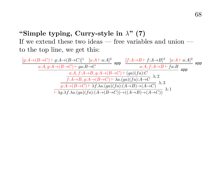## **"Simple typing, Curry-style in** λ**" (7)** If we extend these two ideas — free variables and union to the top line, we get this:

$$
\frac{[g:A\rightarrow(B\rightarrow C)\vdash g:A\rightarrow(B\rightarrow C)]^{1}}{a:A,g:A\rightarrow(B\rightarrow C)\vdash ga:B\rightarrow C} \xrightarrow{a:A,f:A\rightarrow B\vdash f:A\rightarrow B\uparrow^3} \frac{[a:A+a:A]^2}{a:A,f:A\rightarrow B\rightarrow C} \xrightarrow{a:A,f:A\rightarrow B\vdash f.a:B} \text{app}
$$
\n
$$
\xrightarrow{a:A,f:A\rightarrow B,g:A\rightarrow(B\rightarrow C)\vdash (ga)(fa):C} \lambda;2
$$
\n
$$
\xrightarrow{f:A\rightarrow B,g:A\rightarrow(B\rightarrow C)\vdash \lambda a.(ga)(fa):A\rightarrow C} \lambda;3
$$
\n
$$
\xrightarrow[\lambda,g,A\rightarrow(A\rightarrow C)\vdash \lambda f.\lambda a.(ga)(fa):A\rightarrow B)\rightarrow(A\rightarrow C)]} \lambda;1
$$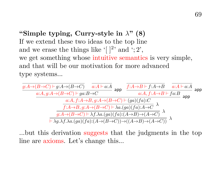**"Simple typing, Curry-style in** λ**" (8)** If we extend these two ideas to the top line and we erase the things like  $[$   $]$ <sup>2</sup>' and '; 2', we get something whose intuitive semantics is very simple, and that will be our motivation for more advanced type systems...

$$
\frac{\frac{\overline{g:A}\rightarrow(B\rightarrow C)\vdash g:A\rightarrow(B\rightarrow C)}{a:A,g:A\rightarrow(B\rightarrow C)\vdash ga:B\rightarrow C}}{\underbrace{a:A,g:A\rightarrow(B\rightarrow C)\vdash ga:B\rightarrow C}}\xrightarrow{a:A,f:A\rightarrow B\vdash f.a:B}\xrightarrow{a:A,f:A\rightarrow B\vdash fa:B}\xrightarrow{a\rightarrow A}\xrightarrow{a:A,f:A\rightarrow B,g:A\rightarrow(B\rightarrow C)\vdash(ga)(fa):C}\xrightarrow{f:A\rightarrow B,g:A\rightarrow(B\rightarrow C)\vdash\lambda a.(ga)(fa):A\rightarrow C}\lambda}{\underbrace{\overline{g:A\rightarrow(B\rightarrow C)\vdash\lambda f.\lambda a.(ga)(fa):(A\rightarrow B)\rightarrow(A\rightarrow C)}\xrightarrow{\lambda}}\xrightarrow{\lambda}\xrightarrow{f.\lambda g.\lambda f.\lambda a.(ga)(fa)(A\rightarrow(B\rightarrow C))\rightarrow((A\rightarrow B)\rightarrow(A\rightarrow C))}\xrightarrow{\lambda}
$$

...but this derivation suggests that the judgments in the top line are axioms. Let's change this...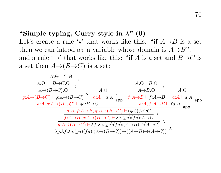### **"Simple typing, Curry-style in** λ**" (9)**

Let's create a rule 'v' that works like this: "if  $A \rightarrow B$  is a set then we can introduce a variable whose domain is  $A \rightarrow B$ ", and a rule ' $\rightarrow$ ' that works like this: "if A is a set and  $B\rightarrow C$  is a set then  $A \rightarrow (B \rightarrow C)$  is a set:

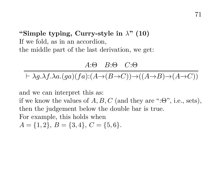**"Simple typing, Curry-style in** λ**" (10)** If we fold, as in an accordion, the middle part of the last derivation, we get:

A:Θ B:Θ C:Θ  $\vdash \lambda q.\lambda f.\lambda a.(qa)(fa):(A\rightarrow (B\rightarrow C))\rightarrow ((A\rightarrow B)\rightarrow (A\rightarrow C))$ 

and we can interpret this as:

if we know the values of  $A, B, C$  (and they are ":Θ", i.e., sets), then the judgement below the double bar is true. For example, this holds when

 $A = \{1, 2\}, B = \{3, 4\}, C = \{5, 6\}.$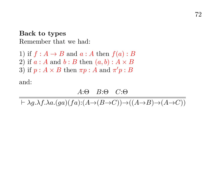**Back to types** Remember that we had:

1) if  $f : A \rightarrow B$  and  $a : A$  then  $f(a) : B$ 2) if  $a : A$  and  $b : B$  then  $(a, b) : A \times B$ 3) if  $p: A \times B$  then  $\pi p: A$  and  $\pi' p: B$ 

and:

$$
A{:}\Theta \quad B{:}\Theta \quad C{:}\Theta
$$

 $\vdash \lambda q.\lambda f.\lambda a.(ga)(fa):(A\rightarrow (B\rightarrow C))\rightarrow ((A\rightarrow B)\rightarrow (A\rightarrow C))$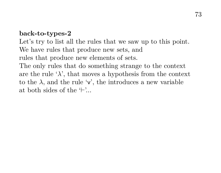#### **back-to-types-2**

Let's try to list all the rules that we saw up to this point. We have rules that produce new sets, and rules that produce new elements of sets. The only rules that do something strange to the context are the rule ' $\lambda$ ', that moves a hypothesis from the context to the  $\lambda$ , and the rule 'v', the introduces a new variable at both sides of the  $\vdash$ ...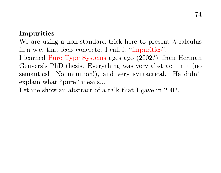#### **Impurities**

We are using a non-standard trick here to present  $\lambda$ -calculus in a way that feels concrete. I call it "impurities".

I learned Pure Type Systems ages ago (2002?) from Herman Geuvers's PhD thesis. Everything was very abstract in it (no semantics! No intuition!), and very syntactical. He didn't explain what "pure" means...

Let me show an abstract of a talk that I gave in 2002.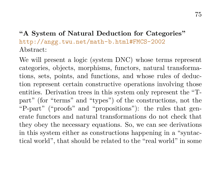## **"A System of Natural Deduction for Categories"** <http://angg.twu.net/math-b.html#FMCS-2002> Abstract:

We will present a logic (system DNC) whose terms represent categories, objects, morphisms, functors, natural transformations, sets, points, and functions, and whose rules of deduction represent certain constructive operations involving those entities. Derivation trees in this system only represent the "Tpart" (for "terms" and "types") of the constructions, not the "P-part" ("proofs" and "propositions"): the rules that generate functors and natural transformations do not check that they obey the necessary equations. So, we can see derivations in this system either as constructions happening in a "syntactical world", that should be related to the "real world" in some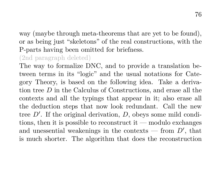way (maybe through meta-theorems that are yet to be found), or as being just "skeletons" of the real constructions, with the P-parts having been omitted for briefness.

## (2nd paragraph deleted)

The way to formalize DNC, and to provide a translation between terms in its "logic" and the usual notations for Category Theory, is based on the following idea. Take a derivation tree D in the Calculus of Constructions, and erase all the contexts and all the typings that appear in it; also erase all the deduction steps that now look redundant. Call the new tree  $D'$ . If the original derivation,  $D$ , obeys some mild conditions, then it is possible to reconstruct it — modulo exchanges and unessential weakenings in the contexts — from  $D'$ , that is much shorter. The algorithm that does the reconstruction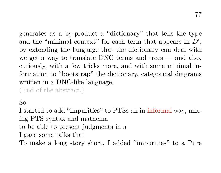generates as a by-product a "dictionary" that tells the type and the "minimal context" for each term that appears in  $D'$ ; by extending the language that the dictionary can deal with we get a way to translate DNC terms and trees — and also, curiously, with a few tricks more, and with some minimal information to "bootstrap" the dictionary, categorical diagrams written in a DNC-like language.

(End of the abstract.)

So

I started to add "impurities" to PTSs an in informal way, mixing PTS syntax and mathema to be able to present judgments in a I gave some talks that To make a long story short, I added "impurities" to a Pure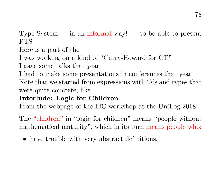Type System  $-$  in an informal way!  $-$  to be able to present PTS

Here is a part of the

I was working on a kind of "Curry-Howard for CT"

I gave some talks that year

I had to make some presentations in conferences that year Note that we started from expressions with  $\lambda$ 's and types that were quite concrete, like

#### **Interlude: Logic for Children**

From the webpage of the LfC workshop at the UniLog 2018:

The "children" in "logic for children" means "people without mathematical maturity", which in its turn means people who:

• have trouble with very abstract definitions,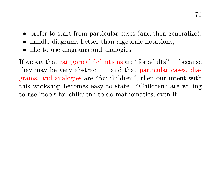- prefer to start from particular cases (and then generalize),
- handle diagrams better than algebraic notations,
- like to use diagrams and analogies.

If we say that categorical definitions are "for adults" — because they may be very abstract — and that particular cases, diagrams, and analogies are "for children", then our intent with this workshop becomes easy to state. "Children" are willing to use "tools for children" to do mathematics, even if...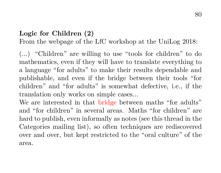## **Logic for Children (2)**

From the webpage of the LfC workshop at the UniLog 2018:

(...) "Children" are willing to use "tools for children" to do mathematics, even if they will have to translate everything to a language "for adults" to make their results dependable and publishable, and even if the bridge between their tools "for children" and "for adults" is somewhat defective, i.e., if the translation only works on simple cases...

We are interested in that bridge between maths "for adults" and "for children" in several areas. Maths "for children" are hard to publish, even informally as notes (see this thread in the Categories mailing list), so often techniques are rediscovered over and over, but kept restricted to the "oral culture" of the area.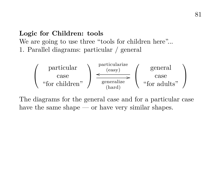# **Logic for Children: tools** We are going to use three "tools for children here"... 1. Parallel diagrams: particular / general



The diagrams for the general case and for a particular case have the same shape — or have very similar shapes.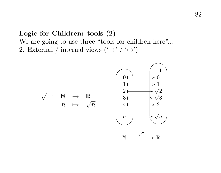# **Logic for Children: tools (2)** We are going to use three "tools for children here"... 2. External / internal views  $(\rightarrow)' (\rightarrow')$

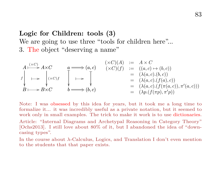#### 83

## **Logic for Children: tools (3)**

We are going to use three "tools for children here"... 3. The object "deserving a name"

$$
A \xrightarrow{(\times C)} A \times C
$$
\n
$$
a \longrightarrow (a, c)
$$
\n
$$
\downarrow \qquad (\times C)(f) \qquad := (a, c) \rightarrow (b, c)
$$
\n
$$
\downarrow \qquad \qquad \downarrow \qquad \qquad \downarrow
$$
\n
$$
B \longmapsto B \times C
$$
\n
$$
b \longrightarrow (b, c)
$$
\n
$$
a \longrightarrow (a, c)
$$
\n
$$
\downarrow \qquad (\times C)(f) \qquad := (a, c) \rightarrow (b, c)
$$
\n
$$
= (\lambda(a, c). (f(a, c)), \pi'(a, c)))
$$
\n
$$
= (\lambda(a, c). (f(\pi(a, c)), \pi'(a, c)))
$$
\n
$$
= (\lambda p. (f(\pi p), \pi' p))
$$

Note: I was obsessed by this idea for years, but it took me a long time to formalize it... it was incredibly useful as a private notation, but it seemed to work only in small examples. The trick to make it work is to use dictionaries.

Article: "Internal Diagrams and Archetypal Reasoning in Category Theory" [Ochs2013]. I still love about 80% of it, but I abandoned the idea of "downcasing types".

In the course about λ-Calculus, Logics, and Translation I don't even mention to the students that that paper exists.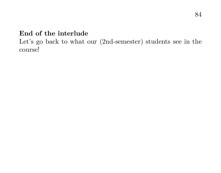## **End of the interlude**

Let's go back to what our (2nd-semester) students see in the course!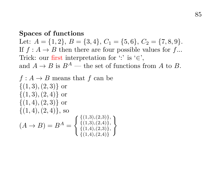#### **Spaces of functions**

Let:  $A = \{1, 2\}, B = \{3, 4\}, C_1 = \{5, 6\}, C_2 = \{7, 8, 9\}.$ If  $f : A \rightarrow B$  then there are four possible values for f... Trick: our first interpretation for  $\cdot$ : ' is  $\cdot \in$ ', and  $A \to B$  is  $B^A$  — the set of functions from A to B.

$$
f: A \to B \text{ means that } f \text{ can be}
$$
  
\n
$$
\{(1,3), (2,3)\} \text{ or}
$$
  
\n
$$
\{(1,3), (2,4)\} \text{ or}
$$
  
\n
$$
\{(1,4), (2,3)\} \text{ or}
$$
  
\n
$$
\{(1,4), (2,4)\}, \text{so}
$$
  
\n
$$
(A \to B) = B^A = \begin{cases} \{(1,3), (2,3)\}, \\ \{(1,3), (2,4)\}, \\ \{(1,4), (2,3)\} \end{cases}
$$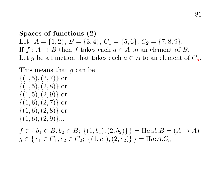**Spaces of functions (2)** Let:  $A = \{1, 2\}, B = \{3, 4\}, C_1 = \{5, 6\}, C_2 = \{7, 8, 9\}.$ If  $f : A \to B$  then f takes each  $a \in A$  to an element of B. Let q be a function that takes each  $a \in A$  to an element of  $C_a$ .

This means that g can be

 $\{(1, 5), (2, 7)\}\text{ or }$  $\{(1, 5), (2, 8)\}\;$ or  $\{(1, 5), (2, 9)\}\text{ or}$  $\{(1,6), (2,7)\}\text{ or}$  $\{(1,6), (2,8)\}\;$  or  $\{(1,6), (2,9)\}\dots$  $f \in \{b_1 \in B, b_2 \in B; \{(1, b_1), (2, b_2)\}\} = \Pi a:A.B = (A \rightarrow A)$ 

 $q \in \{c_1 \in C_1, c_2 \in C_2; \{(1, c_1), (2, c_2)\}\} = \Pi a: A.C_a$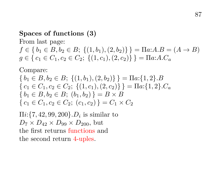## **Spaces of functions (3)**

From last page:

 $f \in \{b_1 \in B, b_2 \in B; \{(1, b_1), (2, b_2)\}\} = \Pi a:A.B = (A \rightarrow B)$  $g \in \{c_1 \in C_1, c_2 \in C_2; \{(1, c_1), (2, c_2)\}\} = \Pi a: A.C_a$ 

Compare:

$$
\{b_1 \in B, b_2 \in B; \{(1, b_1), (2, b_2)\}\} = \Pi a: \{1, 2\}.B
$$
  

$$
\{c_1 \in C_1, c_2 \in C_2; \{(1, c_1), (2, c_2)\}\} = \Pi a: \{1, 2\}.C_a
$$
  

$$
\{b_1 \in B, b_2 \in B; (b_1, b_2)\} = B \times B
$$
  

$$
\{c_1 \in C_1, c_2 \in C_2; (c_1, c_2)\} = C_1 \times C_2
$$

 $\Pi i$ :{7, 42, 99, 200}. $D_i$  is similar to  $D_7 \times D_{42} \times D_{99} \times D_{200}$ , but the first returns functions and the second return 4-uples.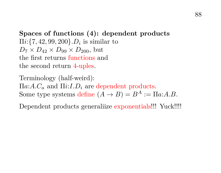**Spaces of functions (4): dependent products**  $\Pi i$ : {7, 42, 99, 200}. $D_i$  is similar to  $D_7 \times D_{42} \times D_{99} \times D_{200}$ , but the first returns functions and the second return 4-uples.

Terminology (half-weird):  $\Pi a: A.C_a$  and  $\Pi i: I.D_i$  are dependent products. Some type systems define  $(A \rightarrow B) = B^A := \Pi a:A.B.$ 

Dependent products generaliize exponentials!!! Yuck!!!!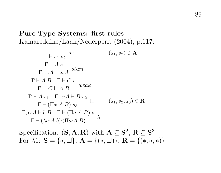## **Pure Type Systems: first rules** Kamareddine/Laan/Nederperlt (2004), p.117:

$$
\frac{\Gamma + A: s}{\Gamma, x:A \vdash x:A} \quad (s_1, s_2) \in \mathbf{A}
$$
\n
$$
\frac{\Gamma + A: s}{\Gamma, x:A \vdash x:A} \quad \text{start}
$$
\n
$$
\frac{\Gamma + A: B \quad \Gamma + C: s}{\Gamma, x:C \vdash A:B} \quad \text{weak}
$$
\n
$$
\frac{\Gamma + A: s_1 \quad \Gamma, x:A \vdash B: s_2}{\Gamma \vdash (\Pi x:A.B): s_3} \quad \Pi \quad (s_1, s_2, s_3) \in \mathbf{R}
$$
\n
$$
\frac{\Gamma, a:A \vdash b: B \quad \Gamma \vdash (\Pi a:A.B): s}{\Gamma \vdash (\lambda a:A.b); (\Pi a:A.B)} \quad \lambda
$$

Specification:  $({\bf S}, {\bf A}, {\bf R})$  with  ${\bf A} \subseteq {\bf S}^2, {\bf R} \subseteq {\bf S}^3$ For  $\lambda 1$ :  $S = \{*, \Box\}, A = \{(*, \Box)\}, R = \{(*,*,*)\}$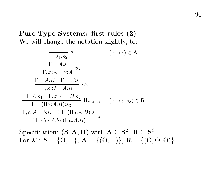**Pure Type Systems: first rules (2)** We will change the notation slightly, to:

$$
\frac{\Gamma + S_1 : s_2}{\Gamma, x:A \vdash x:A} \quad a \quad (s_1, s_2) \in \mathbf{A}
$$
\n
$$
\frac{\Gamma \vdash A : s}{\Gamma, x:A \vdash x:A} \quad v_s
$$
\n
$$
\frac{\Gamma \vdash A : B \quad \Gamma \vdash C : s}{\Gamma, x : C \vdash A : B} \quad w_s
$$
\n
$$
\frac{\Gamma \vdash A : s_1 \quad \Gamma, x : A \vdash B : s_2}{\Gamma \vdash (\Pi x : A.B) : s_3} \quad (s_1, s_2, s_3) \in \mathbf{R}
$$
\n
$$
\frac{\Gamma, a : A \vdash b : B \quad \Gamma \vdash (\Pi a : A.B) : s}{\Gamma \vdash (\lambda a : A.b) : (\Pi a : A.B)} \quad \lambda
$$

Specification:  $({\bf S}, {\bf A}, {\bf R})$  with  ${\bf A} \subseteq {\bf S}^2, {\bf R} \subseteq {\bf S}^3$ For  $\lambda 1$ :  $\mathbf{S} = \{\Theta, \Box\}, \mathbf{A} = \{(\Theta, \Box)\}, \mathbf{R} = \{(\Theta, \Theta, \Theta)\}\$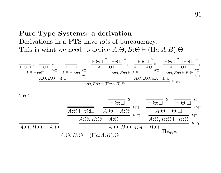## **Pure Type Systems: a derivation** Derivations in a PTS have lots of bureaucracy. This is what we need to derive  $A:\Theta, B:\Theta \vdash (\Pi a:A.B):\Theta:$

$$
\frac{\overline{+ \Theta:\Box}^{a}}{A:\Theta \vdash \Theta:\Box} \stackrel{a}{w\Box} \frac{\overline{+ \Theta:\Box}^{a}}{A:\Theta \vdash A:\Theta} \stackrel{a}{v\Box} \frac{\overline{+ \Theta:\Box}^{a}}{A:\Theta \vdash \Theta:\Box} \stackrel{a}{w\Box} \frac{\overline{+ \Theta:\Box}^{a}}{A:\Theta \vdash A:\Theta} \stackrel{v}{v\Box} \frac{\overline{+ \Theta:\Box}^{a}}{A:\Theta \vdash A:\Theta} \stackrel{v}{v\Box} \frac{\overline{+ \Theta:\Box}^{a}}{A:\Theta, B:\Theta \vdash A:\Theta} \stackrel{w}{w\Box} \frac{\overline{+ \Theta:\Box}^{a}}{A:\Theta, B:\Theta \vdash B:\Theta} \stackrel{v}{w\Box} \frac{\overline{+ \Theta:\Box}^{a}}{A:\Theta, B:\Theta \vdash B:\Theta} \stackrel{v}{w\Box} \frac{\overline{+ \Theta:\Box}^{a}}{A:\Theta, B:\Theta \vdash B:\Theta} \stackrel{v}{w\Box} \frac{\overline{+ \Theta:\Box}^{a}}{A:\Theta, B:\Theta \vdash B:\Theta} \stackrel{v}{w\Box} \frac{\overline{+ \Theta:\Box}^{a}}{A:\Theta, B:\Theta \vdash B:\Theta} \stackrel{v}{w\Box} \frac{\overline{+ \Theta:\Box}^{a}}{A:\Theta, B:\Theta \vdash B:\Theta} \stackrel{v}{w\Box} \frac{\overline{+ \Theta:\Box}^{a}}{A:\Theta, B:\Theta \vdash B:\Theta} \stackrel{v}{w\Box} \frac{\overline{+ \Theta:\Box}^{a}}{A:\Theta, B:\Theta \vdash B:\Theta} \stackrel{v}{w\Box} \frac{\overline{+ \Theta:\Box}^{a}}{A:\Theta, B:\Theta \vdash B:\Theta} \stackrel{v}{w\Box} \frac{\overline{+ \Theta:\Box}^{a}}{A:\Theta, B:\Theta \vdash B:\Theta} \stackrel{v}{w\Box}^{a}
$$

i.e.:

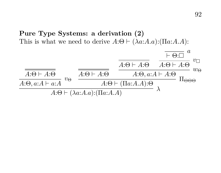**Pure Type Systems: a derivation (2)** This is what we need to derive  $A:\Theta \vdash (\lambda a:A.a):(\Pi a:A.A):$ 

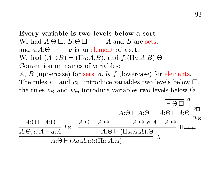**Every variable is two levels below a sort** We had  $A:\Theta:\square$ ,  $B:\Theta:\square$  — A and B are sets. and  $a: A: \Theta \longrightarrow a$  is an element of a set. We had  $(A\rightarrow B) = (\Pi a:A.B)$ , and  $f:(\Pi a:A.B):\Theta$ . Convention on names of variables: A, B (uppercase) for sets, a, b, f (lowercase) for elements. The rules  $v_{\square}$  and  $w_{\square}$  introduce variables two levels below  $\square$ . the rules  $v_{\Theta}$  and  $w_{\Theta}$  introduce variables two levels below  $\Theta$ .

$$
\frac{\overline{A:\Theta \vdash A:\Theta}}{A:\Theta, a:A \vdash a:A} \cdot v_{\Theta} \quad \frac{\overline{A:\Theta \vdash A:\Theta}}{A:\Theta \vdash A:\Theta} \quad \frac{\overline{A:\Theta \vdash A:\Theta}}{A:\Theta, a:A \vdash A:\Theta} \cdot v_{\Box}}{A:\Theta \vdash (\Pi a:A.A)):\Theta} \overline{\Pi_{\Theta\Theta\Theta}}
$$
\n
$$
A:\Theta \vdash (\lambda a:A.a):(\Pi a:A.A)
$$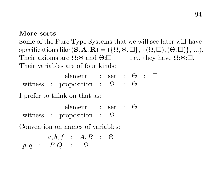#### **More sorts**

Some of the Pure Type Systems that we will see later will have specifications like  $(\mathbf{S}, \mathbf{A}, \mathbf{R}) = (\{\Omega, \Theta, \Box\}, \{(\Omega, \Box), (\Theta, \Box)\}, \ldots).$ Their axioms are  $\Omega: \Theta$  and  $\Theta: \square$  — i.e., they have  $\Omega: \Theta: \square$ . Their variables are of four kinds:

|  | element : set : $\Theta$ : $\square$        |  |  |  |
|--|---------------------------------------------|--|--|--|
|  | witness : proposition : $\Omega$ : $\Theta$ |  |  |  |

I prefer to think on that as:

|  | element : set : $\Theta$         |  |  |
|--|----------------------------------|--|--|
|  | witness : proposition : $\Omega$ |  |  |

Convention on names of variables:

$$
a, b, f : A, B : \Theta
$$
  

$$
p, q : P, Q : \Omega
$$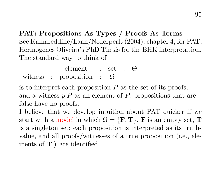**PAT: Propositions As Types / Proofs As Terms** See Kamareddine/Laan/Nederperlt (2004), chapter 4, for PAT, Hermogenes Oliveira's PhD Thesis for the BHK interpretation. The standard way to think of

element : set : Θ witness : proposition :  $\Omega$ 

is to interpret each proposition  $P$  as the set of its proofs, and a witness  $p: P$  as an element of P; propositions that are false have no proofs.

I believe that we develop intuition about PAT quicker if we start with a model in which  $\Omega = {\bf{F,T}}$ , **F** is an empty set, **T** is a singleton set; each proposition is interpreted as its truthvalue, and all proofs/witnesses of a true proposition (i.e., elements of T!) are identified.